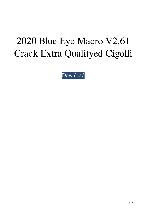## 2020 Blue Eye Macro V2.61 Crack Extra Qualityed Cigolli

[Download](http://evacdir.com/bewitched/solely/aleutian.MjAyMCBCbHVlIEV5ZSBNYWNybyBWMi42MSBDcmFja2VkIENpZ29sbGkMjA?anguille&pireus=ZG93bmxvYWR8NTV5Tm1SclpIeDhNVFkxTlRnME1qazRNWHg4TWpVNU1IeDhLRTBwSUZkdmNtUndjbVZ6Y3lCYldFMU1VbEJESUZZeUlGQkVSbDA)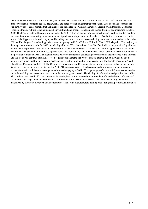. This romanization of the Cyrillic alphabet, which uses the Latin letters Q-Z rather than the Cyrillic "soft" consonants ă-ŭ, is used for official documents (letters, declarations, and other official governmental publications).For books and journals, the standard system is used, namely, that Latin letters are translated into Cyrillic characters. Breaking with tradition, Consumer Products Strategy (CPS) Magazine included current brand and product trends among the top business and marketing trends for 2010. The leading trade publication, which covers the \$330 billion consumer products industry, said that like-minded retailers and manufacturers are working in unison to connect products to shoppers in the digital age. "We believe consumers are in the midst of the biggest revolution in buying and branding since the advent of mass marketing and mass culture and we believe that 2011 will be the year for technology driven smart shopping," said Dan DeLuca, Editor in Chief, CPS Magazine. The majority of the magazine's top ten trends for 2010 include digital home, Web 2.0 and social media. "2011 will be the year that digital home takes a giant leap forward as a result of the integration of these technologies," DeLuca said. "Home appliances and consumer electronics have been under the microscope for some time now and 2011 will be the year when consumers learn to fully unleash the potential of their devices. The digital home is where consumers are connecting every aspect of their lifestyle to the Internet and this trend will continue into 2011." "It's not just about changing the type of content that we put on the web; it's about helping consumers find the information, deals and services they want and offering easier ways for them to consume it," said Ellen Davis, President and CEO of The Commerce Department and Consumer Goods Forum, who also makes the magazine's list of top business and marketing trends for 2010. "The personalization of web content and the way consumers interact and access information will become more personalized and engaging in 2011. "The opening up of data and information means that smart data mining can become the new competitive advantage for brands. The sharing of information and people's lives online will continue to expand in 2011 as consumers increasingly expect online retailers to provide useful and relevant information," Davis said. CPS Magazine included on its list of top trends for 2010 the resurgence of the seasonal economy, which was influenced by the credit meltdown and economic recession, with manufacturers holding onto strong cash positions, and retailers